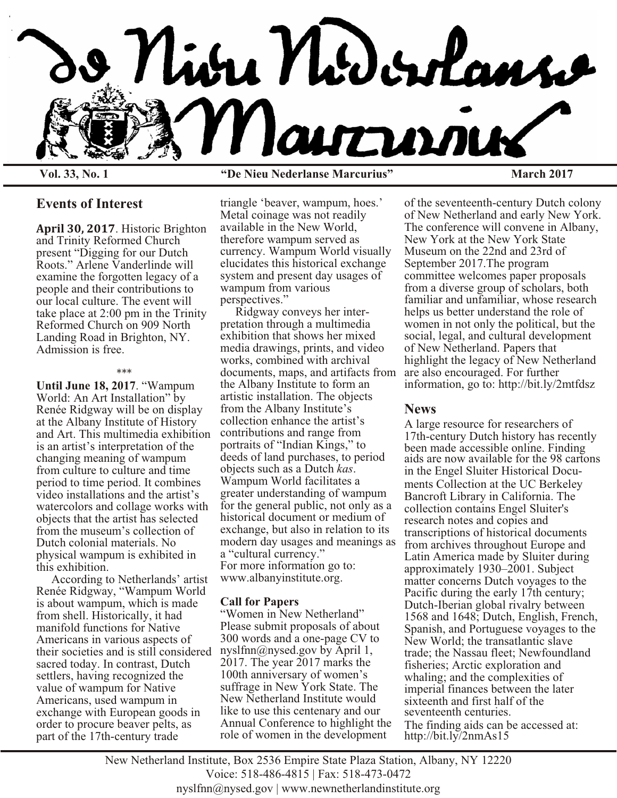

**Vol. 33, No. 1 "De Nieu Nederlanse Marcurius" March 2017**

## **Events of Interest**

**April 30, 2017**. Historic Brighton and Trinity Reformed Church present "Digging for our Dutch Roots." Arlene Vanderlinde will examine the forgotten legacy of a people and their contributions to our local culture. The event will take place at 2:00 pm in the Trinity Reformed Church on 909 North Landing Road in Brighton, NY. Admission is free.

#### \*\*\*

**Until June 18, 2017**. "Wampum World: An Art Installation" by Renée Ridgway will be on display at the Albany Institute of History and Art. This multimedia exhibition is an artist's interpretation of the changing meaning of wampum from culture to culture and time period to time period. It combines video installations and the artist's watercolors and collage works with objects that the artist has selected from the museum's collection of Dutch colonial materials. No physical wampum is exhibited in this exhibition.

 According to Netherlands' artist Renée Ridgway, "Wampum World is about wampum, which is made from shell. Historically, it had manifold functions for Native Americans in various aspects of their societies and is still considered sacred today. In contrast, Dutch settlers, having recognized the value of wampum for Native Americans, used wampum in exchange with European goods in order to procure beaver pelts, as part of the 17th-century trade

triangle 'beaver, wampum, hoes.' Metal coinage was not readily available in the New World, therefore wampum served as currency. Wampum World visually elucidates this historical exchange system and present day usages of wampum from various perspectives."

 Ridgway conveys her interpretation through a multimedia exhibition that shows her mixed media drawings, prints, and video works, combined with archival documents, maps, and artifacts from the Albany Institute to form an artistic installation. The objects from the Albany Institute's collection enhance the artist's contributions and range from portraits of "Indian Kings," to deeds of land purchases, to period objects such as a Dutch *kas*. Wampum World facilitates a greater understanding of wampum for the general public, not only as a historical document or medium of exchange, but also in relation to its modern day usages and meanings as a "cultural currency." For more information go to: www.albanyinstitute.org.

### **Call for Papers**

"Women in New Netherland" Please submit proposals of about 300 words and a one-page CV to nyslfnn@nysed.gov by April 1, 2017. The year 2017 marks the 100th anniversary of women's suffrage in New York State. The New Netherland Institute would like to use this centenary and our Annual Conference to highlight the role of women in the development

of the seventeenth-century Dutch colony of New Netherland and early New York. The conference will convene in Albany, New York at the New York State Museum on the 22nd and 23rd of September 2017.The program committee welcomes paper proposals from a diverse group of scholars, both familiar and unfamiliar, whose research helps us better understand the role of women in not only the political, but the social, legal, and cultural development of New Netherland. Papers that highlight the legacy of New Netherland are also encouraged. For further information, go to: http://bit.ly/2mtfdsz

### **News**

A large resource for researchers of 17th-century Dutch history has recently been made accessible online. Finding aids are now available for the 98 cartons in the Engel Sluiter Historical Documents Collection at the UC Berkeley Bancroft Library in California. The collection contains Engel Sluiter's research notes and copies and transcriptions of historical documents from archives throughout Europe and Latin America made by Sluiter during approximately 1930–2001. Subject matter concerns Dutch voyages to the Pacific during the early 17th century; Dutch-Iberian global rivalry between 1568 and 1648; Dutch, English, French, Spanish, and Portuguese voyages to the New World; the transatlantic slave trade; the Nassau fleet; Newfoundland fisheries; Arctic exploration and whaling; and the complexities of imperial finances between the later sixteenth and first half of the seventeenth centuries. The finding aids can be accessed at: http://bit.ly/2nmAs15

New Netherland Institute, Box 2536 Empire State Plaza Station, Albany, NY 12220 Voice: 518-486-4815 | Fax: 518-473-0472 nyslfnn@nysed.gov | www.newnetherlandinstitute.org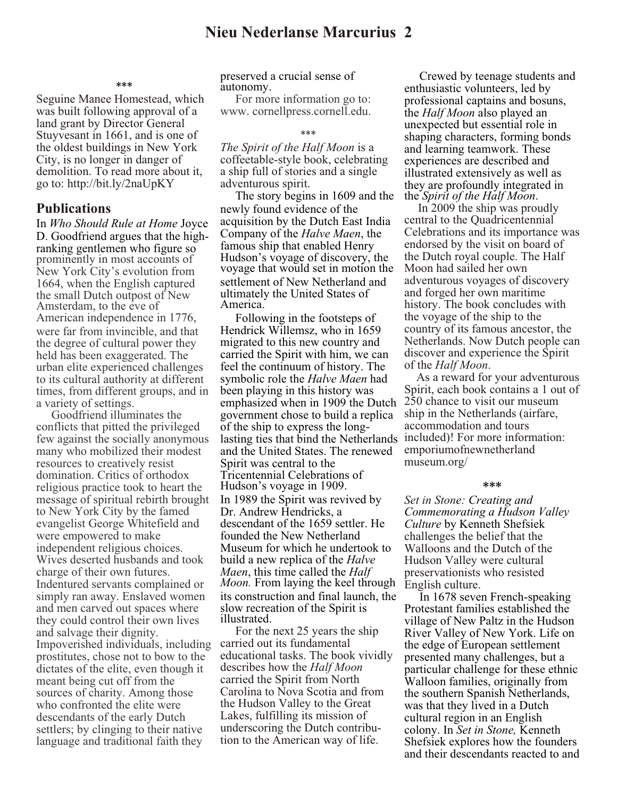#### **\*\*\***

Seguine Manee Homestead, which was built following approval of a land grant by Director General Stuyvesant in 1661, and is one of the oldest buildings in New York City, is no longer in danger of demolition. To read more about it, go to: http://bit.ly/2naUpKY

### **Publications**

In *Who Should Rule at Home* Joyce D. Goodfriend argues that the highranking gentlemen who figure so prominently in most accounts of New York City's evolution from 1664, when the English captured the small Dutch outpost of New Amsterdam, to the eve of American independence in 1776, were far from invincible, and that the degree of cultural power they held has been exaggerated. The urban elite experienced challenges to its cultural authority at different times, from different groups, and in a variety of settings.

 Goodfriend illuminates the conflicts that pitted the privileged few against the socially anonymous many who mobilized their modest resources to creatively resist domination. Critics of orthodox religious practice took to heart the message of spiritual rebirth brought to New York City by the famed evangelist George Whitefield and were empowered to make independent religious choices. Wives deserted husbands and took charge of their own futures. Indentured servants complained or simply ran away. Enslaved women and men carved out spaces where they could control their own lives and salvage their dignity. Impoverished individuals, including prostitutes, chose not to bow to the dictates of the elite, even though it meant being cut off from the sources of charity. Among those who confronted the elite were descendants of the early Dutch settlers; by clinging to their native language and traditional faith they

preserved a crucial sense of autonomy.

 For more information go to: www. cornellpress.cornell.edu.

#### \*\*\*

*The Spirit of the Half Moon* is a coffeetable-style book, celebrating a ship full of stories and a single adventurous spirit.

 The story begins in 1609 and the newly found evidence of the acquisition by the Dutch East India Company of the *Halve Maen*, the famous ship that enabled Henry Hudson's voyage of discovery, the voyage that would set in motion the settlement of New Netherland and ultimately the United States of America.

Following in the footsteps of Hendrick Willemsz, who in 1659 migrated to this new country and carried the Spirit with him, we can feel the continuum of history. The symbolic role the *Halve Maen* had been playing in this history was emphasized when in 1909 the Dutch government chose to build a replica of the ship to express the longlasting ties that bind the Netherlands included)! For more information: and the United States. The renewed Spirit was central to the Tricentennial Celebrations of Hudson's voyage in 1909. In 1989 the Spirit was revived by Dr. Andrew Hendricks, a descendant of the 1659 settler. He founded the New Netherland Museum for which he undertook to build a new replica of the *Halve Maen*, this time called the *Half Moon.* From laying the keel through its construction and final launch, the slow recreation of the Spirit is illustrated.

 For the next 25 years the ship carried out its fundamental educational tasks. The book vividly describes how the *Half Moon* carried the Spirit from North Carolina to Nova Scotia and from the Hudson Valley to the Great Lakes, fulfilling its mission of underscoring the Dutch contribution to the American way of life.

 Crewed by teenage students and enthusiastic volunteers, led by professional captains and bosuns, the *Half Moon* also played an unexpected but essential role in shaping characters, forming bonds and learning teamwork. These experiences are described and illustrated extensively as well as they are profoundly integrated in the *Spirit of the Half Moon*.

 In 2009 the ship was proudly central to the Quadricentennial Celebrations and its importance was endorsed by the visit on board of the Dutch royal couple. The Half Moon had sailed her own adventurous voyages of discovery and forged her own maritime history. The book concludes with the voyage of the ship to the country of its famous ancestor, the Netherlands. Now Dutch people can discover and experience the Spirit of the *Half Moon*.

 As a reward for your adventurous Spirit, each book contains a 1 out of 250 chance to visit our museum ship in the Netherlands (airfare, accommodation and tours emporiumofnewnetherland museum.org/

#### **\*\*\***

*Set in Stone: Creating and Commemorating a Hudson Valley Culture* by Kenneth Shefsiek challenges the belief that the Walloons and the Dutch of the Hudson Valley were cultural preservationists who resisted English culture.

 In 1678 seven French-speaking Protestant families established the village of New Paltz in the Hudson River Valley of New York. Life on the edge of European settlement presented many challenges, but a particular challenge for these ethnic Walloon families, originally from the southern Spanish Netherlands, was that they lived in a Dutch cultural region in an English colony. In *Set in Stone,* Kenneth Shefsiek explores how the founders and their descendants reacted to and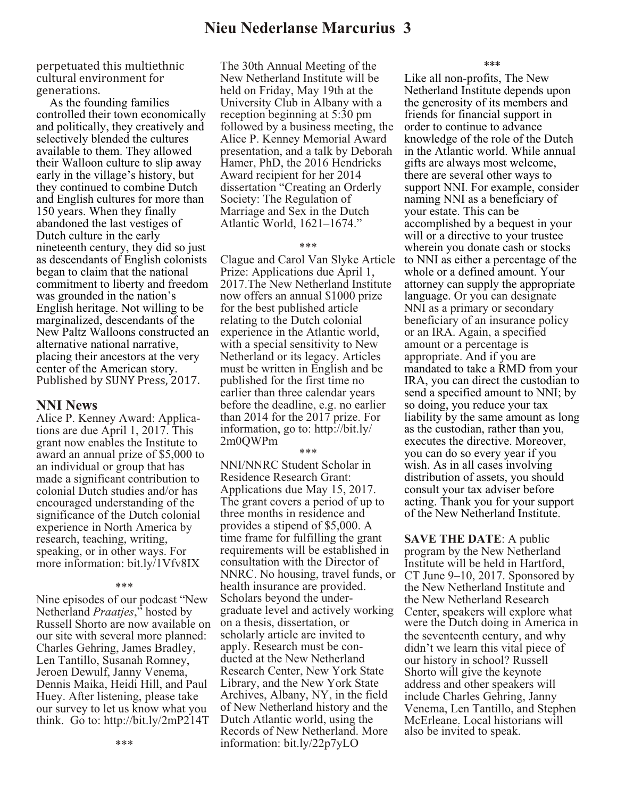perpetuated this multiethnic cultural environment for generations.

 As the founding families controlled their town economically and politically, they creatively and selectively blended the cultures available to them. They allowed their Walloon culture to slip away early in the village's history, but they continued to combine Dutch and English cultures for more than 150 years. When they finally abandoned the last vestiges of Dutch culture in the early nineteenth century, they did so just as descendants of English colonists began to claim that the national commitment to liberty and freedom was grounded in the nation's English heritage. Not willing to be marginalized, descendants of the New Paltz Walloons constructed an alternative national narrative, placing their ancestors at the very center of the American story. Published by SUNY Press, 2017.

### **NNI News**

Alice P. Kenney Award: Applications are due April 1, 2017. This grant now enables the Institute to award an annual prize of \$5,000 to an individual or group that has made a significant contribution to colonial Dutch studies and/or has encouraged understanding of the significance of the Dutch colonial experience in North America by research, teaching, writing, speaking, or in other ways. For more information: bit.ly/1Vfv8IX

\*\*\*

Nine episodes of our podcast "New Netherland *Praatjes*," hosted by Russell Shorto are now available on our site with several more planned: Charles Gehring, James Bradley, Len Tantillo, Susanah Romney, Jeroen Dewulf, Janny Venema, Dennis Maika, Heidi Hill, and Paul Huey. After listening, please take our survey to let us know what you think. Go to: http://bit.ly/2mP214T

The 30th Annual Meeting of the New Netherland Institute will be held on Friday, May 19th at the University Club in Albany with a reception beginning at 5:30 pm followed by a business meeting, the Alice P. Kenney Memorial Award presentation, and a talk by Deborah Hamer, PhD, the 2016 Hendricks Award recipient for her 2014 dissertation "Creating an Orderly Society: The Regulation of Marriage and Sex in the Dutch Atlantic World, 1621–1674."

#### \*\*\*

Clague and Carol Van Slyke Article Prize: Applications due April 1, 2017.The New Netherland Institute now offers an annual \$1000 prize for the best published article relating to the Dutch colonial experience in the Atlantic world, with a special sensitivity to New Netherland or its legacy. Articles must be written in English and be published for the first time no earlier than three calendar years before the deadline, e.g. no earlier than 2014 for the 2017 prize. For information, go to: http://bit.ly/ 2m0QWPm

\*\*\*

NNI/NNRC Student Scholar in Residence Research Grant: Applications due May 15, 2017. The grant covers a period of up to three months in residence and provides a stipend of \$5,000. A time frame for fulfilling the grant requirements will be established in consultation with the Director of NNRC. No housing, travel funds, or health insurance are provided. Scholars beyond the undergraduate level and actively working on a thesis, dissertation, or scholarly article are invited to apply. Research must be conducted at the New Netherland Research Center, New York State Library, and the New York State Archives, Albany, NY, in the field of New Netherland history and the Dutch Atlantic world, using the Records of New Netherland. More information: bit.ly/22p7yLO

**\*\*\***

Like all non-profits, The New Netherland Institute depends upon the generosity of its members and friends for financial support in order to continue to advance knowledge of the role of the Dutch in the Atlantic world. While annual gifts are always most welcome, there are several other ways to support NNI. For example, consider naming NNI as a beneficiary of your estate. This can be accomplished by a bequest in your will or a directive to your trustee wherein you donate cash or stocks to NNI as either a percentage of the whole or a defined amount. Your attorney can supply the appropriate language. Or you can designate NNI as a primary or secondary beneficiary of an insurance policy or an IRA. Again, a specified amount or a percentage is appropriate. And if you are mandated to take a RMD from your IRA, you can direct the custodian to send a specified amount to NNI; by so doing, you reduce your tax liability by the same amount as long as the custodian, rather than you, executes the directive. Moreover, you can do so every year if you wish. As in all cases involving distribution of assets, you should consult your tax adviser before acting. Thank you for your support of the New Netherland Institute.

**SAVE THE DATE**: A public program by the New Netherland Institute will be held in Hartford, CT June 9–10, 2017. Sponsored by the New Netherland Institute and the New Netherland Research Center, speakers will explore what were the Dutch doing in America in the seventeenth century, and why didn't we learn this vital piece of our history in school? Russell Shorto will give the keynote address and other speakers will include Charles Gehring, Janny Venema, Len Tantillo, and Stephen McErleane. Local historians will also be invited to speak.